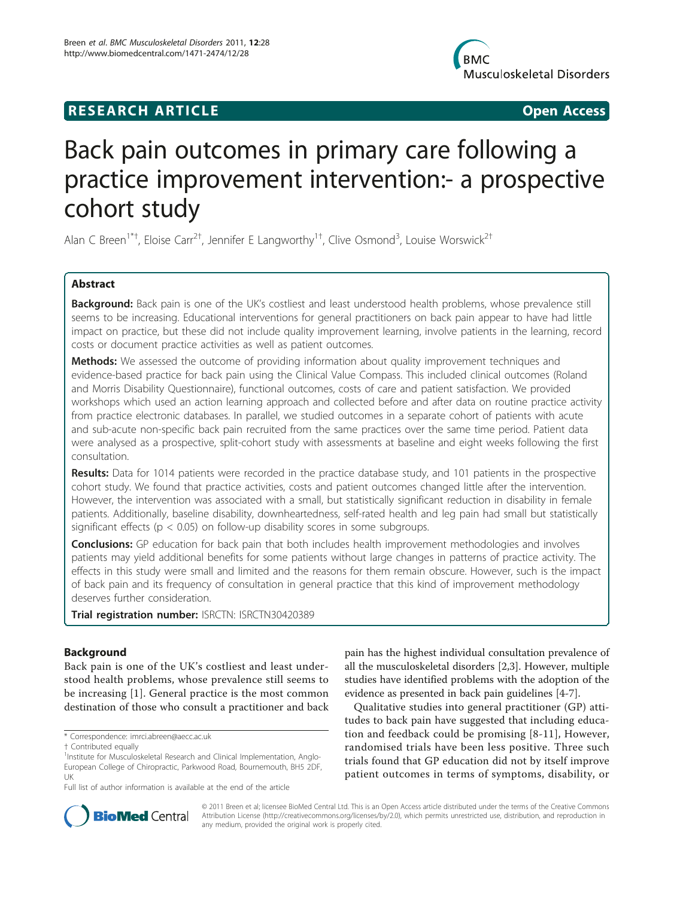# **RESEARCH ARTICLE Example 2018 12:00 Open Access**



# Back pain outcomes in primary care following a practice improvement intervention:- a prospective cohort study

Alan C Breen<sup>1\*†</sup>, Eloise Carr<sup>2†</sup>, Jennifer E Langworthy<sup>1†</sup>, Clive Osmond<sup>3</sup>, Louise Worswick<sup>2†</sup>

# Abstract

**Background:** Back pain is one of the UK's costliest and least understood health problems, whose prevalence still seems to be increasing. Educational interventions for general practitioners on back pain appear to have had little impact on practice, but these did not include quality improvement learning, involve patients in the learning, record costs or document practice activities as well as patient outcomes.

Methods: We assessed the outcome of providing information about quality improvement techniques and evidence-based practice for back pain using the Clinical Value Compass. This included clinical outcomes (Roland and Morris Disability Questionnaire), functional outcomes, costs of care and patient satisfaction. We provided workshops which used an action learning approach and collected before and after data on routine practice activity from practice electronic databases. In parallel, we studied outcomes in a separate cohort of patients with acute and sub-acute non-specific back pain recruited from the same practices over the same time period. Patient data were analysed as a prospective, split-cohort study with assessments at baseline and eight weeks following the first consultation.

Results: Data for 1014 patients were recorded in the practice database study, and 101 patients in the prospective cohort study. We found that practice activities, costs and patient outcomes changed little after the intervention. However, the intervention was associated with a small, but statistically significant reduction in disability in female patients. Additionally, baseline disability, downheartedness, self-rated health and leg pain had small but statistically significant effects ( $p < 0.05$ ) on follow-up disability scores in some subgroups.

**Conclusions:** GP education for back pain that both includes health improvement methodologies and involves patients may yield additional benefits for some patients without large changes in patterns of practice activity. The effects in this study were small and limited and the reasons for them remain obscure. However, such is the impact of back pain and its frequency of consultation in general practice that this kind of improvement methodology deserves further consideration.

Trial registration number: ISRCTN: [ISRCTN30420389](http://www.controlled-trials.com/ISRCTN30420389)

# Background

Back pain is one of the UK's costliest and least understood health problems, whose prevalence still seems to be increasing [\[1](#page-8-0)]. General practice is the most common destination of those who consult a practitioner and back

pain has the highest individual consultation prevalence of all the musculoskeletal disorders [\[2,3](#page-8-0)]. However, multiple studies have identified problems with the adoption of the evidence as presented in back pain guidelines [\[4](#page-8-0)-[7\]](#page-8-0).

Qualitative studies into general practitioner (GP) attitudes to back pain have suggested that including education and feedback could be promising [[8](#page-8-0)-[11](#page-8-0)], However, randomised trials have been less positive. Three such trials found that GP education did not by itself improve patient outcomes in terms of symptoms, disability, or



© 2011 Breen et al; licensee BioMed Central Ltd. This is an Open Access article distributed under the terms of the Creative Commons Attribution License [\(http://creativecommons.org/licenses/by/2.0](http://creativecommons.org/licenses/by/2.0)), which permits unrestricted use, distribution, and reproduction in any medium, provided the original work is properly cited.

<sup>\*</sup> Correspondence: [imrci.abreen@aecc.ac.uk](mailto:imrci.abreen@aecc.ac.uk)

<sup>†</sup> Contributed equally <sup>1</sup>

<sup>&</sup>lt;sup>1</sup>Institute for Musculoskeletal Research and Clinical Implementation, Anglo-European College of Chiropractic, Parkwood Road, Bournemouth, BH5 2DF, UK

Full list of author information is available at the end of the article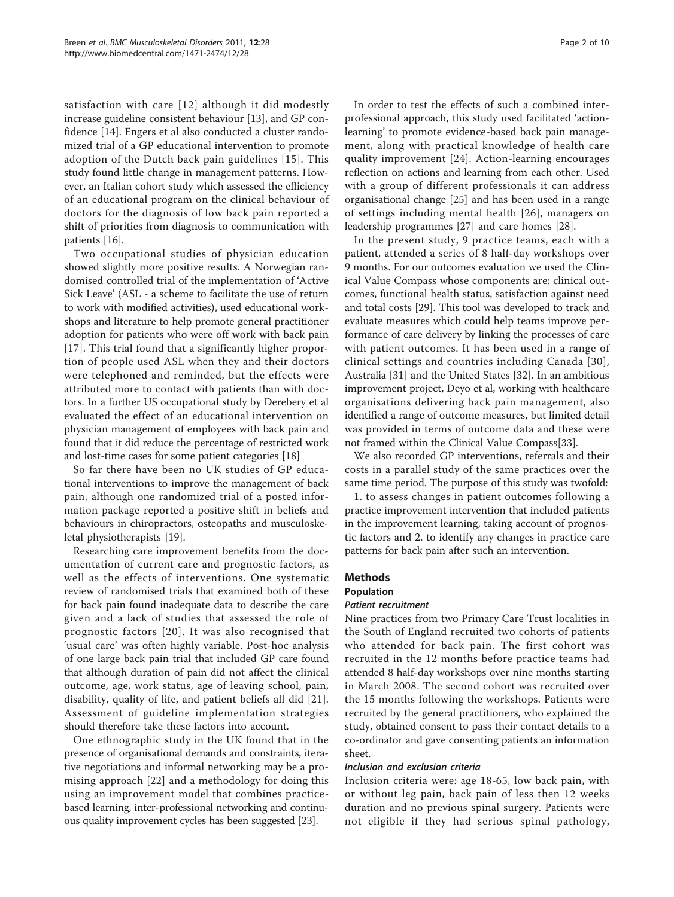satisfaction with care [[12\]](#page-8-0) although it did modestly increase guideline consistent behaviour [\[13](#page-8-0)], and GP confidence [\[14](#page-8-0)]. Engers et al also conducted a cluster randomized trial of a GP educational intervention to promote adoption of the Dutch back pain guidelines [[15](#page-8-0)]. This study found little change in management patterns. However, an Italian cohort study which assessed the efficiency of an educational program on the clinical behaviour of doctors for the diagnosis of low back pain reported a shift of priorities from diagnosis to communication with patients [[16](#page-8-0)].

Two occupational studies of physician education showed slightly more positive results. A Norwegian randomised controlled trial of the implementation of 'Active Sick Leave' (ASL - a scheme to facilitate the use of return to work with modified activities), used educational workshops and literature to help promote general practitioner adoption for patients who were off work with back pain [[17](#page-8-0)]. This trial found that a significantly higher proportion of people used ASL when they and their doctors were telephoned and reminded, but the effects were attributed more to contact with patients than with doctors. In a further US occupational study by Derebery et al evaluated the effect of an educational intervention on physician management of employees with back pain and found that it did reduce the percentage of restricted work and lost-time cases for some patient categories [\[18](#page-8-0)]

So far there have been no UK studies of GP educational interventions to improve the management of back pain, although one randomized trial of a posted information package reported a positive shift in beliefs and behaviours in chiropractors, osteopaths and musculoskeletal physiotherapists [[19\]](#page-8-0).

Researching care improvement benefits from the documentation of current care and prognostic factors, as well as the effects of interventions. One systematic review of randomised trials that examined both of these for back pain found inadequate data to describe the care given and a lack of studies that assessed the role of prognostic factors [[20](#page-8-0)]. It was also recognised that 'usual care' was often highly variable. Post-hoc analysis of one large back pain trial that included GP care found that although duration of pain did not affect the clinical outcome, age, work status, age of leaving school, pain, disability, quality of life, and patient beliefs all did [[21](#page-8-0)]. Assessment of guideline implementation strategies should therefore take these factors into account.

One ethnographic study in the UK found that in the presence of organisational demands and constraints, iterative negotiations and informal networking may be a promising approach [[22](#page-8-0)] and a methodology for doing this using an improvement model that combines practicebased learning, inter-professional networking and continuous quality improvement cycles has been suggested [\[23\]](#page-8-0).

In order to test the effects of such a combined interprofessional approach, this study used facilitated 'actionlearning' to promote evidence-based back pain management, along with practical knowledge of health care quality improvement [[24](#page-8-0)]. Action-learning encourages reflection on actions and learning from each other. Used with a group of different professionals it can address organisational change [[25](#page-8-0)] and has been used in a range of settings including mental health [[26](#page-8-0)], managers on leadership programmes [[27](#page-8-0)] and care homes [\[28\]](#page-8-0).

In the present study, 9 practice teams, each with a patient, attended a series of 8 half-day workshops over 9 months. For our outcomes evaluation we used the Clinical Value Compass whose components are: clinical outcomes, functional health status, satisfaction against need and total costs [[29\]](#page-8-0). This tool was developed to track and evaluate measures which could help teams improve performance of care delivery by linking the processes of care with patient outcomes. It has been used in a range of clinical settings and countries including Canada [\[30\]](#page-8-0), Australia [\[31](#page-9-0)] and the United States [[32\]](#page-9-0). In an ambitious improvement project, Deyo et al, working with healthcare organisations delivering back pain management, also identified a range of outcome measures, but limited detail was provided in terms of outcome data and these were not framed within the Clinical Value Compass[\[33\]](#page-9-0).

We also recorded GP interventions, referrals and their costs in a parallel study of the same practices over the same time period. The purpose of this study was twofold:

1. to assess changes in patient outcomes following a practice improvement intervention that included patients in the improvement learning, taking account of prognostic factors and 2. to identify any changes in practice care patterns for back pain after such an intervention.

# Methods

#### Population

#### Patient recruitment

Nine practices from two Primary Care Trust localities in the South of England recruited two cohorts of patients who attended for back pain. The first cohort was recruited in the 12 months before practice teams had attended 8 half-day workshops over nine months starting in March 2008. The second cohort was recruited over the 15 months following the workshops. Patients were recruited by the general practitioners, who explained the study, obtained consent to pass their contact details to a co-ordinator and gave consenting patients an information sheet.

# Inclusion and exclusion criteria

Inclusion criteria were: age 18-65, low back pain, with or without leg pain, back pain of less then 12 weeks duration and no previous spinal surgery. Patients were not eligible if they had serious spinal pathology,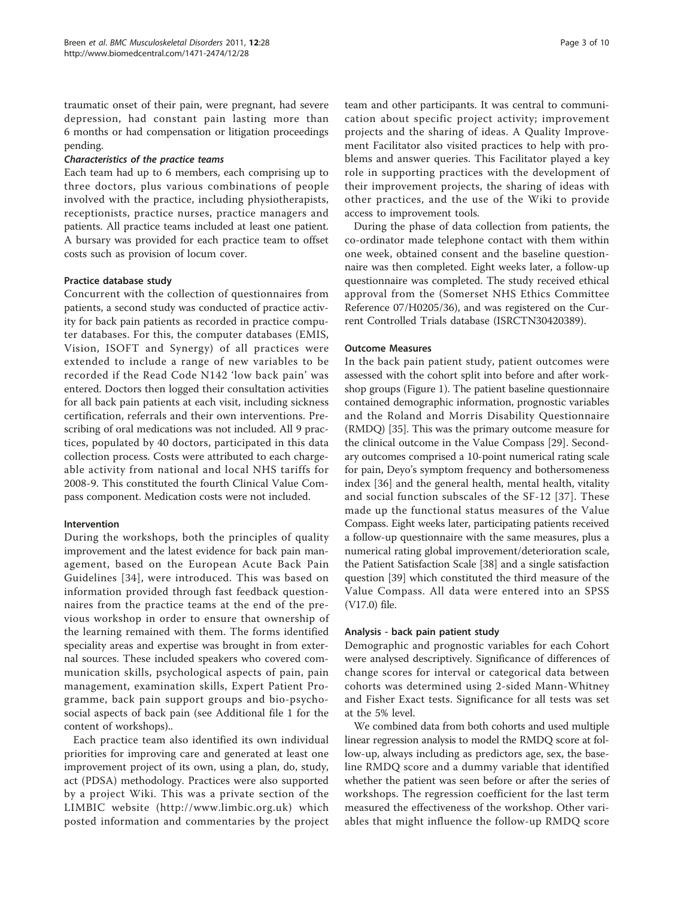traumatic onset of their pain, were pregnant, had severe depression, had constant pain lasting more than 6 months or had compensation or litigation proceedings pending.

#### Characteristics of the practice teams

Each team had up to 6 members, each comprising up to three doctors, plus various combinations of people involved with the practice, including physiotherapists, receptionists, practice nurses, practice managers and patients. All practice teams included at least one patient. A bursary was provided for each practice team to offset costs such as provision of locum cover.

#### Practice database study

Concurrent with the collection of questionnaires from patients, a second study was conducted of practice activity for back pain patients as recorded in practice computer databases. For this, the computer databases (EMIS, Vision, ISOFT and Synergy) of all practices were extended to include a range of new variables to be recorded if the Read Code N142 'low back pain' was entered. Doctors then logged their consultation activities for all back pain patients at each visit, including sickness certification, referrals and their own interventions. Prescribing of oral medications was not included. All 9 practices, populated by 40 doctors, participated in this data collection process. Costs were attributed to each chargeable activity from national and local NHS tariffs for 2008-9. This constituted the fourth Clinical Value Compass component. Medication costs were not included.

#### Intervention

During the workshops, both the principles of quality improvement and the latest evidence for back pain management, based on the European Acute Back Pain Guidelines [[34](#page-9-0)], were introduced. This was based on information provided through fast feedback questionnaires from the practice teams at the end of the previous workshop in order to ensure that ownership of the learning remained with them. The forms identified speciality areas and expertise was brought in from external sources. These included speakers who covered communication skills, psychological aspects of pain, pain management, examination skills, Expert Patient Programme, back pain support groups and bio-psychosocial aspects of back pain (see Additional file [1](#page-8-0) for the content of workshops)..

Each practice team also identified its own individual priorities for improving care and generated at least one improvement project of its own, using a plan, do, study, act (PDSA) methodology. Practices were also supported by a project Wiki. This was a private section of the LIMBIC website (<http://www.limbic.org.uk>) which posted information and commentaries by the project

team and other participants. It was central to communication about specific project activity; improvement projects and the sharing of ideas. A Quality Improvement Facilitator also visited practices to help with problems and answer queries. This Facilitator played a key role in supporting practices with the development of their improvement projects, the sharing of ideas with other practices, and the use of the Wiki to provide access to improvement tools.

During the phase of data collection from patients, the co-ordinator made telephone contact with them within one week, obtained consent and the baseline questionnaire was then completed. Eight weeks later, a follow-up questionnaire was completed. The study received ethical approval from the (Somerset NHS Ethics Committee Reference 07/H0205/36), and was registered on the Current Controlled Trials database (ISRCTN30420389).

#### Outcome Measures

In the back pain patient study, patient outcomes were assessed with the cohort split into before and after workshop groups (Figure [1](#page-3-0)). The patient baseline questionnaire contained demographic information, prognostic variables and the Roland and Morris Disability Questionnaire (RMDQ) [[35](#page-9-0)]. This was the primary outcome measure for the clinical outcome in the Value Compass [\[29](#page-8-0)]. Secondary outcomes comprised a 10-point numerical rating scale for pain, Deyo's symptom frequency and bothersomeness index [[36\]](#page-9-0) and the general health, mental health, vitality and social function subscales of the SF-12 [[37](#page-9-0)]. These made up the functional status measures of the Value Compass. Eight weeks later, participating patients received a follow-up questionnaire with the same measures, plus a numerical rating global improvement/deterioration scale, the Patient Satisfaction Scale [[38\]](#page-9-0) and a single satisfaction question [\[39\]](#page-9-0) which constituted the third measure of the Value Compass. All data were entered into an SPSS (V17.0) file.

#### Analysis - back pain patient study

Demographic and prognostic variables for each Cohort were analysed descriptively. Significance of differences of change scores for interval or categorical data between cohorts was determined using 2-sided Mann-Whitney and Fisher Exact tests. Significance for all tests was set at the 5% level.

We combined data from both cohorts and used multiple linear regression analysis to model the RMDQ score at follow-up, always including as predictors age, sex, the baseline RMDQ score and a dummy variable that identified whether the patient was seen before or after the series of workshops. The regression coefficient for the last term measured the effectiveness of the workshop. Other variables that might influence the follow-up RMDQ score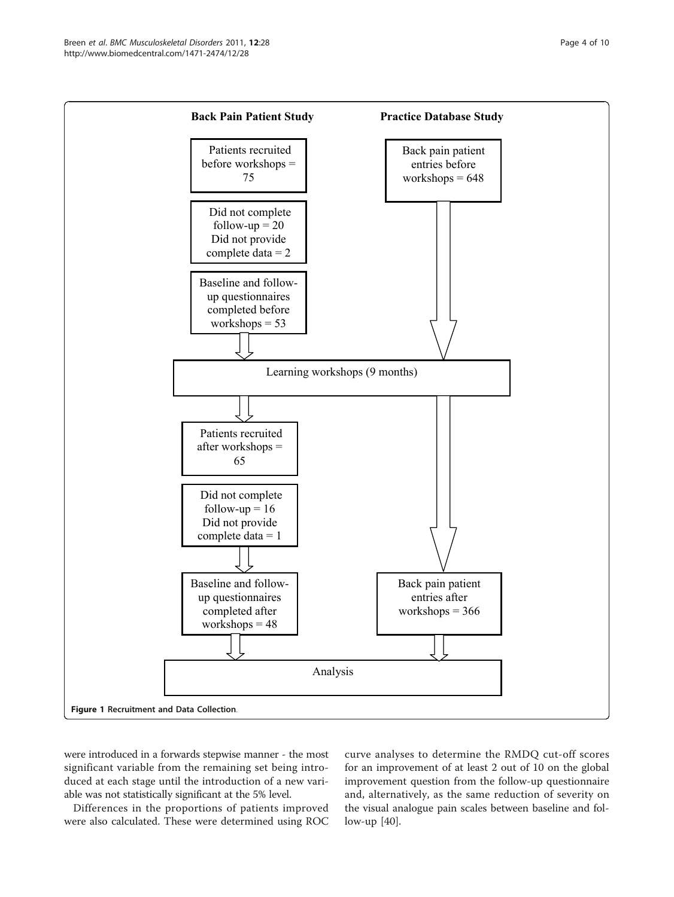<span id="page-3-0"></span>

were introduced in a forwards stepwise manner - the most significant variable from the remaining set being introduced at each stage until the introduction of a new variable was not statistically significant at the 5% level.

Differences in the proportions of patients improved were also calculated. These were determined using ROC

curve analyses to determine the RMDQ cut-off scores for an improvement of at least 2 out of 10 on the global improvement question from the follow-up questionnaire and, alternatively, as the same reduction of severity on the visual analogue pain scales between baseline and follow-up [[40](#page-9-0)].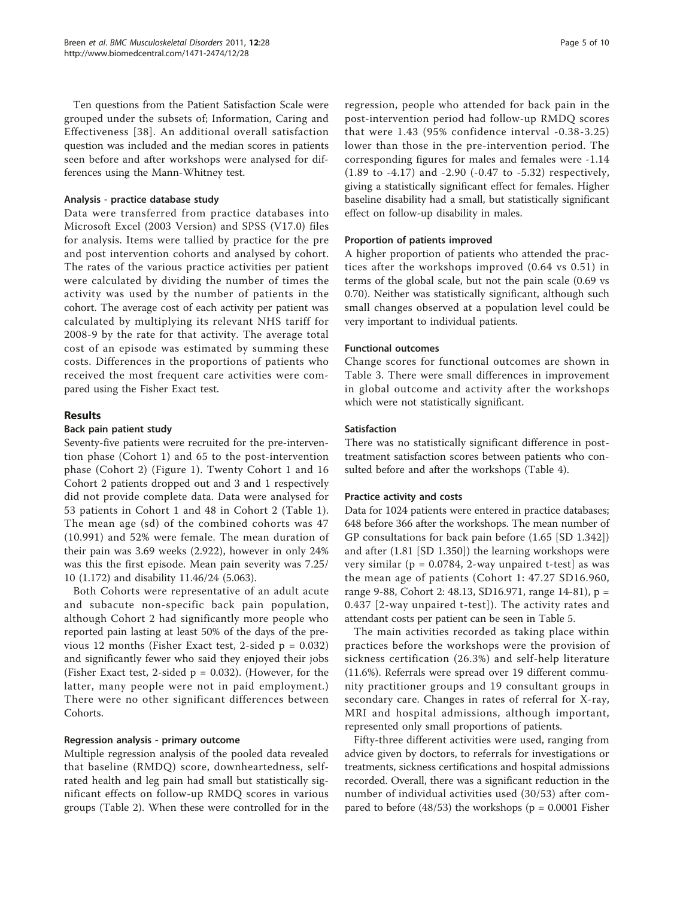Ten questions from the Patient Satisfaction Scale were grouped under the subsets of; Information, Caring and Effectiveness [[38\]](#page-9-0). An additional overall satisfaction question was included and the median scores in patients seen before and after workshops were analysed for differences using the Mann-Whitney test.

# Analysis - practice database study

Data were transferred from practice databases into Microsoft Excel (2003 Version) and SPSS (V17.0) files for analysis. Items were tallied by practice for the pre and post intervention cohorts and analysed by cohort. The rates of the various practice activities per patient were calculated by dividing the number of times the activity was used by the number of patients in the cohort. The average cost of each activity per patient was calculated by multiplying its relevant NHS tariff for 2008-9 by the rate for that activity. The average total cost of an episode was estimated by summing these costs. Differences in the proportions of patients who received the most frequent care activities were compared using the Fisher Exact test.

# Results

#### Back pain patient study

Seventy-five patients were recruited for the pre-intervention phase (Cohort 1) and 65 to the post-intervention phase (Cohort 2) (Figure [1](#page-3-0)). Twenty Cohort 1 and 16 Cohort 2 patients dropped out and 3 and 1 respectively did not provide complete data. Data were analysed for 53 patients in Cohort 1 and 48 in Cohort 2 (Table [1](#page-5-0)). The mean age (sd) of the combined cohorts was 47 (10.991) and 52% were female. The mean duration of their pain was 3.69 weeks (2.922), however in only 24% was this the first episode. Mean pain severity was 7.25/ 10 (1.172) and disability 11.46/24 (5.063).

Both Cohorts were representative of an adult acute and subacute non-specific back pain population, although Cohort 2 had significantly more people who reported pain lasting at least 50% of the days of the previous 12 months (Fisher Exact test, 2-sided  $p = 0.032$ ) and significantly fewer who said they enjoyed their jobs (Fisher Exact test, 2-sided  $p = 0.032$ ). (However, for the latter, many people were not in paid employment.) There were no other significant differences between Cohorts.

# Regression analysis - primary outcome

Multiple regression analysis of the pooled data revealed that baseline (RMDQ) score, downheartedness, selfrated health and leg pain had small but statistically significant effects on follow-up RMDQ scores in various groups (Table [2](#page-5-0)). When these were controlled for in the

regression, people who attended for back pain in the post-intervention period had follow-up RMDQ scores that were 1.43 (95% confidence interval -0.38-3.25) lower than those in the pre-intervention period. The corresponding figures for males and females were -1.14 (1.89 to -4.17) and -2.90 (-0.47 to -5.32) respectively, giving a statistically significant effect for females. Higher baseline disability had a small, but statistically significant effect on follow-up disability in males.

# Proportion of patients improved

A higher proportion of patients who attended the practices after the workshops improved (0.64 vs 0.51) in terms of the global scale, but not the pain scale (0.69 vs 0.70). Neither was statistically significant, although such small changes observed at a population level could be very important to individual patients.

#### Functional outcomes

Change scores for functional outcomes are shown in Table [3](#page-6-0). There were small differences in improvement in global outcome and activity after the workshops which were not statistically significant.

# Satisfaction

There was no statistically significant difference in posttreatment satisfaction scores between patients who consulted before and after the workshops (Table [4\)](#page-6-0).

#### Practice activity and costs

Data for 1024 patients were entered in practice databases; 648 before 366 after the workshops. The mean number of GP consultations for back pain before (1.65 [SD 1.342]) and after (1.81 [SD 1.350]) the learning workshops were very similar ( $p = 0.0784$ , 2-way unpaired t-test] as was the mean age of patients (Cohort 1: 47.27 SD16.960, range 9-88, Cohort 2: 48.13, SD16.971, range 14-81), p = 0.437 [2-way unpaired t-test]). The activity rates and attendant costs per patient can be seen in Table [5.](#page-7-0)

The main activities recorded as taking place within practices before the workshops were the provision of sickness certification (26.3%) and self-help literature (11.6%). Referrals were spread over 19 different community practitioner groups and 19 consultant groups in secondary care. Changes in rates of referral for X-ray, MRI and hospital admissions, although important, represented only small proportions of patients.

Fifty-three different activities were used, ranging from advice given by doctors, to referrals for investigations or treatments, sickness certifications and hospital admissions recorded. Overall, there was a significant reduction in the number of individual activities used (30/53) after compared to before (48/53) the workshops ( $p = 0.0001$  Fisher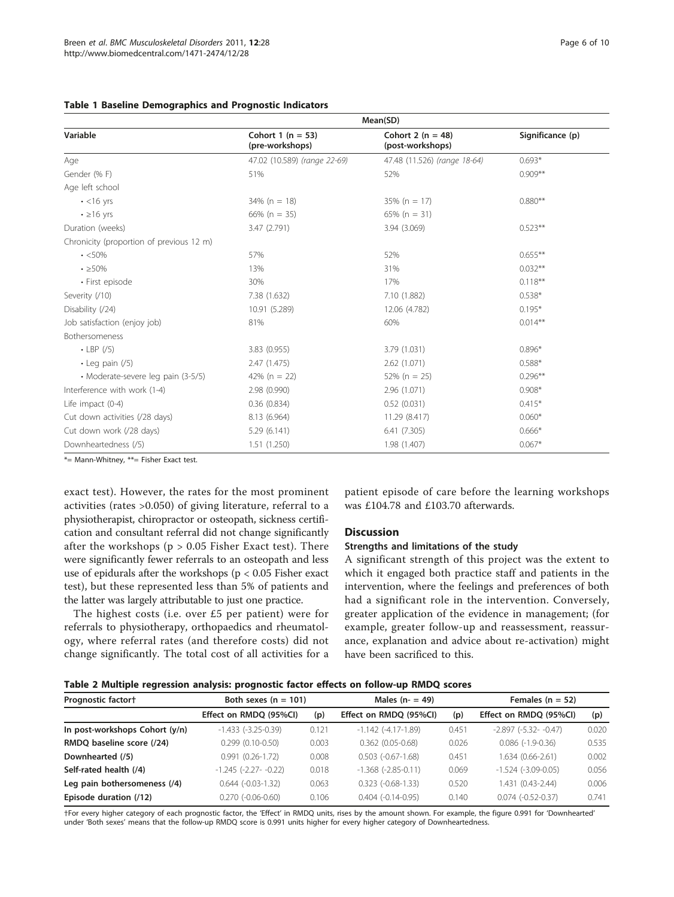|                                          | Mean(SD)                                 |                                           |                  |  |
|------------------------------------------|------------------------------------------|-------------------------------------------|------------------|--|
| Variable                                 | Cohort 1 ( $n = 53$ )<br>(pre-workshops) | Cohort 2 ( $n = 48$ )<br>(post-workshops) | Significance (p) |  |
| Age                                      | 47.02 (10.589) (range 22-69)             | 47.48 (11.526) (range 18-64)              | $0.693*$         |  |
| Gender (%F)                              | 51%                                      | 52%                                       | $0.909**$        |  |
| Age left school                          |                                          |                                           |                  |  |
| $\cdot$ <16 yrs                          | $34\%$ (n = 18)                          | $35\%$ (n = 17)                           | $0.880**$        |  |
| $\cdot$ $\geq$ 16 yrs                    | 66% ( $n = 35$ )                         | 65% ( $n = 31$ )                          |                  |  |
| Duration (weeks)                         | 3.47 (2.791)                             | 3.94 (3.069)                              | $0.523**$        |  |
| Chronicity (proportion of previous 12 m) |                                          |                                           |                  |  |
| $\cdot$ <50%                             | 57%                                      | 52%                                       | $0.655***$       |  |
| $\cdot$ $\geq$ 50%                       | 13%                                      | 31%                                       | $0.032**$        |  |
| • First episode                          | 30%                                      | 17%                                       | $0.118***$       |  |
| Severity (/10)                           | 7.38 (1.632)                             | 7.10 (1.882)                              | $0.538*$         |  |
| Disability (/24)                         | 10.91 (5.289)                            | 12.06 (4.782)                             | $0.195*$         |  |
| Job satisfaction (enjoy job)             | 81%                                      | 60%                                       | $0.014***$       |  |
| Bothersomeness                           |                                          |                                           |                  |  |
| $\cdot$ LBP (/5)                         | 3.83 (0.955)                             | 3.79 (1.031)                              | $0.896*$         |  |
| $\cdot$ Leg pain (/5)                    | 2.47(1.475)                              | 2.62 (1.071)                              | $0.588*$         |  |
| · Moderate-severe leg pain (3-5/5)       | 42% ( $n = 22$ )                         | $52\%$ (n = 25)                           | $0.296**$        |  |
| Interference with work (1-4)             | 2.98 (0.990)                             | 2.96 (1.071)                              | $0.908*$         |  |
| Life impact (0-4)                        | 0.36(0.834)                              | 0.52(0.031)                               | $0.415*$         |  |
| Cut down activities (/28 days)           | 8.13 (6.964)                             | 11.29 (8.417)                             | $0.060*$         |  |
| Cut down work (/28 days)                 | 5.29(6.141)                              | 6.41(7.305)                               | $0.666*$         |  |
| Downheartedness (/5)                     | 1.51(1.250)                              | 1.98 (1.407)                              | $0.067*$         |  |

### <span id="page-5-0"></span>Table 1 Baseline Demographics and Prognostic Indicators

\*= Mann-Whitney, \*\*= Fisher Exact test.

exact test). However, the rates for the most prominent activities (rates >0.050) of giving literature, referral to a physiotherapist, chiropractor or osteopath, sickness certification and consultant referral did not change significantly after the workshops ( $p > 0.05$  Fisher Exact test). There were significantly fewer referrals to an osteopath and less use of epidurals after the workshops ( $p < 0.05$  Fisher exact test), but these represented less than 5% of patients and the latter was largely attributable to just one practice.

The highest costs (i.e. over £5 per patient) were for referrals to physiotherapy, orthopaedics and rheumatology, where referral rates (and therefore costs) did not change significantly. The total cost of all activities for a

patient episode of care before the learning workshops was £104.78 and £103.70 afterwards.

#### **Discussion**

# Strengths and limitations of the study

A significant strength of this project was the extent to which it engaged both practice staff and patients in the intervention, where the feelings and preferences of both had a significant role in the intervention. Conversely, greater application of the evidence in management; (for example, greater follow-up and reassessment, reassurance, explanation and advice about re-activation) might have been sacrificed to this.

|  |  |  |  |  |  |  | Table 2 Multiple regression analysis: prognostic factor effects on follow-up RMDQ scores |  |  |
|--|--|--|--|--|--|--|------------------------------------------------------------------------------------------|--|--|
|--|--|--|--|--|--|--|------------------------------------------------------------------------------------------|--|--|

| Prognostic factor†             | Both sexes $(n = 101)$     |       | Males $(n - 49)$          |       | Females ( $n = 52$ )       |       |  |
|--------------------------------|----------------------------|-------|---------------------------|-------|----------------------------|-------|--|
|                                | Effect on RMDQ (95%CI)     | (p)   | Effect on RMDQ (95%CI)    | (p)   | Effect on RMDQ (95%CI)     | (p)   |  |
| In post-workshops Cohort (y/n) | $-1.433$ $(-3.25-0.39)$    | 0.121 | $-1.142$ $(-4.17-1.89)$   | 0.451 | $-2.897$ $(-5.32 - -0.47)$ | 0.020 |  |
| RMDQ baseline score (/24)      | $0.299(0.10-0.50)$         | 0.003 | $0.362(0.05-0.68)$        | 0.026 | $0.086(-1.9-0.36)$         | 0.535 |  |
| Downhearted (/5)               | $0.991(0.26-1.72)$         | 0.008 | $0.503$ $(-0.67 - 1.68)$  | 0.451 | 1.634 (0.66-2.61)          | 0.002 |  |
| Self-rated health (/4)         | $-1.245$ $(-2.27 - -0.22)$ | 0.018 | $-1.368$ $(-2.85 - 0.11)$ | 0.069 | $-1.524$ $(-3.09 - 0.05)$  | 0.056 |  |
| Leg pain bothersomeness (/4)   | $0.644$ $(-0.03-1.32)$     | 0.063 | $0.323$ $(-0.68 - 1.33)$  | 0.520 | 1.431 (0.43-2.44)          | 0.006 |  |
| Episode duration (/12)         | $0.270$ $(-0.06 - 0.60)$   | 0.106 | $0.404$ $(-0.14 - 0.95)$  | 0.140 | $0.074(-0.52-0.37)$        | 0.741 |  |

†For every higher category of each prognostic factor, the 'Effect' in RMDQ units, rises by the amount shown. For example, the figure 0.991 for 'Downhearted' under 'Both sexes' means that the follow-up RMDQ score is 0.991 units higher for every higher category of Downheartedness.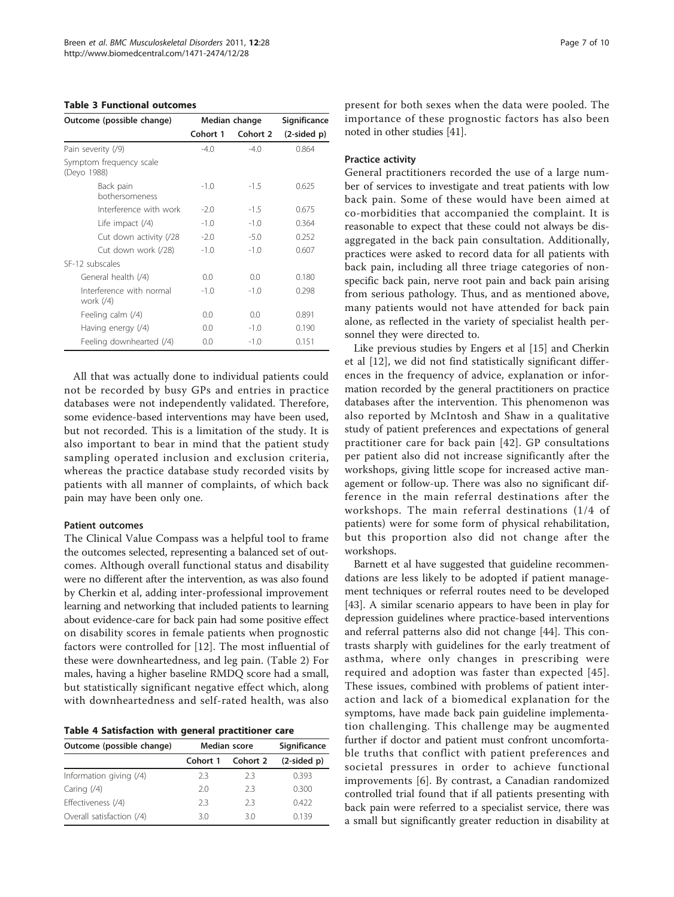#### <span id="page-6-0"></span>Table 3 Functional outcomes

| Outcome (possible change)              | Median change  | Significance |               |  |
|----------------------------------------|----------------|--------------|---------------|--|
|                                        | Cohort 1       | Cohort 2     | $(2-sided p)$ |  |
| Pain severity (/9)                     | $-4.0$         | $-4()$       | 0.864         |  |
| Symptom frequency scale<br>(Deyo 1988) |                |              |               |  |
| Back pain<br>hothersomeness            | $-1.0$         | $-1.5$       | 0.625         |  |
| Interference with work                 | $-2.0$         | $-1.5$       | 0.675         |  |
| Life impact $(4)$                      | $-1.0$         | $-1.0$       | 0.364         |  |
| Cut down activity (/28                 | $-2.0$         | $-5.0$       | 0.252         |  |
| Cut down work (/28)                    | $-1.0$         | $-1.0$       | 0.607         |  |
| SE-12 subscales                        |                |              |               |  |
| General health (/4)                    | 0.0            | 0.0          | 0.180         |  |
| Interference with normal<br>work $(4)$ | $-1.0$         | $-1.0$       | 0.298         |  |
| Feeling calm (/4)                      | 0 <sub>0</sub> | 0.0          | 0.891         |  |
| Having energy (/4)                     | 0.0            | $-1.0$       | 0.190         |  |
| Feeling downhearted (/4)               | 0.0            | $-1.0$       | 0.151         |  |

All that was actually done to individual patients could not be recorded by busy GPs and entries in practice databases were not independently validated. Therefore, some evidence-based interventions may have been used, but not recorded. This is a limitation of the study. It is also important to bear in mind that the patient study sampling operated inclusion and exclusion criteria, whereas the practice database study recorded visits by patients with all manner of complaints, of which back pain may have been only one.

#### Patient outcomes

The Clinical Value Compass was a helpful tool to frame the outcomes selected, representing a balanced set of outcomes. Although overall functional status and disability were no different after the intervention, as was also found by Cherkin et al, adding inter-professional improvement learning and networking that included patients to learning about evidence-care for back pain had some positive effect on disability scores in female patients when prognostic factors were controlled for [[12](#page-8-0)]. The most influential of these were downheartedness, and leg pain. (Table [2](#page-5-0)) For males, having a higher baseline RMDQ score had a small, but statistically significant negative effect which, along with downheartedness and self-rated health, was also

| Table 4 Satisfaction with general practitioner care |
|-----------------------------------------------------|

| Outcome (possible change) | Median score | Significance |               |  |
|---------------------------|--------------|--------------|---------------|--|
|                           | Cohort 1     | Cohort 2     | $(2-sided p)$ |  |
| Information giving $(4)$  | フ3           | フ3           | 0.393         |  |
| Caring $(4)$              | 20           | フ3           | 0.300         |  |
| Effectiveness (/4)        | 23           | フ3           | 0422          |  |
| Overall satisfaction (/4) | 30           | 30           | 0139          |  |

present for both sexes when the data were pooled. The importance of these prognostic factors has also been noted in other studies [[41](#page-9-0)].

#### Practice activity

General practitioners recorded the use of a large number of services to investigate and treat patients with low back pain. Some of these would have been aimed at co-morbidities that accompanied the complaint. It is reasonable to expect that these could not always be disaggregated in the back pain consultation. Additionally, practices were asked to record data for all patients with back pain, including all three triage categories of nonspecific back pain, nerve root pain and back pain arising from serious pathology. Thus, and as mentioned above, many patients would not have attended for back pain alone, as reflected in the variety of specialist health personnel they were directed to.

Like previous studies by Engers et al [[15\]](#page-8-0) and Cherkin et al [[12\]](#page-8-0), we did not find statistically significant differences in the frequency of advice, explanation or information recorded by the general practitioners on practice databases after the intervention. This phenomenon was also reported by McIntosh and Shaw in a qualitative study of patient preferences and expectations of general practitioner care for back pain [[42](#page-9-0)]. GP consultations per patient also did not increase significantly after the workshops, giving little scope for increased active management or follow-up. There was also no significant difference in the main referral destinations after the workshops. The main referral destinations (1/4 of patients) were for some form of physical rehabilitation, but this proportion also did not change after the workshops.

Barnett et al have suggested that guideline recommendations are less likely to be adopted if patient management techniques or referral routes need to be developed [[43\]](#page-9-0). A similar scenario appears to have been in play for depression guidelines where practice-based interventions and referral patterns also did not change [\[44\]](#page-9-0). This contrasts sharply with guidelines for the early treatment of asthma, where only changes in prescribing were required and adoption was faster than expected [[45](#page-9-0)]. These issues, combined with problems of patient interaction and lack of a biomedical explanation for the symptoms, have made back pain guideline implementation challenging. This challenge may be augmented further if doctor and patient must confront uncomfortable truths that conflict with patient preferences and societal pressures in order to achieve functional improvements [\[6](#page-8-0)]. By contrast, a Canadian randomized controlled trial found that if all patients presenting with back pain were referred to a specialist service, there was a small but significantly greater reduction in disability at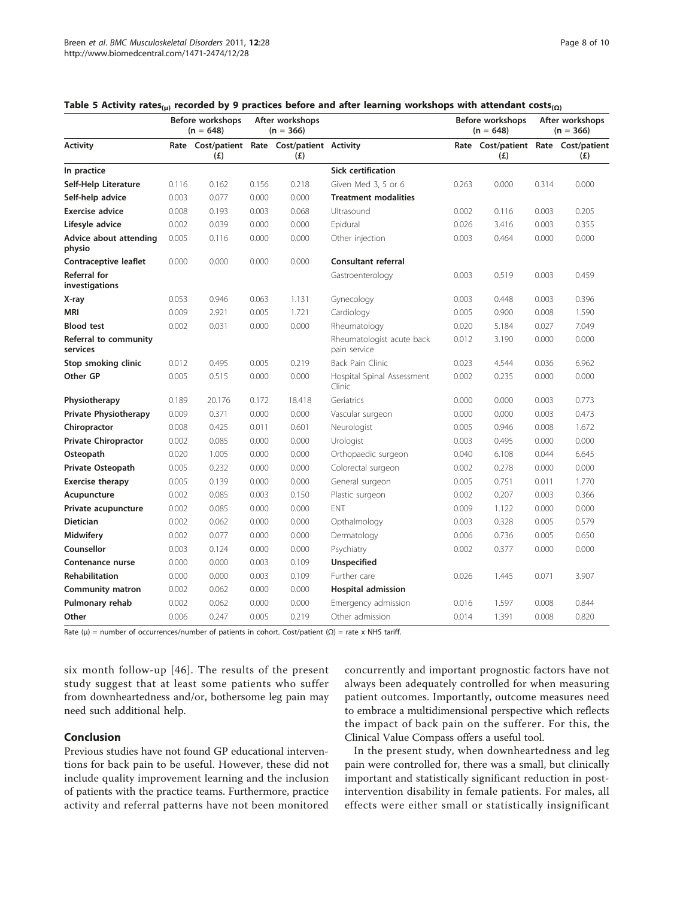|                                       |       | Before workshops<br>$(n = 648)$                     |       | After workshops<br>$(n = 366)$ |                                           |       | Before workshops<br>$(n = 648)$            |       | After workshops<br>$(n = 366)$ |
|---------------------------------------|-------|-----------------------------------------------------|-------|--------------------------------|-------------------------------------------|-------|--------------------------------------------|-------|--------------------------------|
| <b>Activity</b>                       |       | Rate Cost/patient Rate Cost/patient Activity<br>(E) |       | (E)                            |                                           |       | Rate Cost/patient Rate Cost/patient<br>(E) |       | (E)                            |
| In practice                           |       |                                                     |       |                                | <b>Sick certification</b>                 |       |                                            |       |                                |
| Self-Help Literature                  | 0.116 | 0.162                                               | 0.156 | 0.218                          | Given Med 3, 5 or 6                       | 0.263 | 0.000                                      | 0.314 | 0.000                          |
| Self-help advice                      | 0.003 | 0.077                                               | 0.000 | 0.000                          | <b>Treatment modalities</b>               |       |                                            |       |                                |
| <b>Exercise advice</b>                | 0.008 | 0.193                                               | 0.003 | 0.068                          | Ultrasound                                | 0.002 | 0.116                                      | 0.003 | 0.205                          |
| Lifesyle advice                       | 0.002 | 0.039                                               | 0.000 | 0.000                          | Epidural                                  | 0.026 | 3.416                                      | 0.003 | 0.355                          |
| Advice about attending<br>physio      | 0.005 | 0.116                                               | 0.000 | 0.000                          | Other injection                           | 0.003 | 0.464                                      | 0.000 | 0.000                          |
| <b>Contraceptive leaflet</b>          | 0.000 | 0.000                                               | 0.000 | 0.000                          | <b>Consultant referral</b>                |       |                                            |       |                                |
| <b>Referral for</b><br>investigations |       |                                                     |       |                                | Gastroenterology                          | 0.003 | 0.519                                      | 0.003 | 0.459                          |
| X-ray                                 | 0.053 | 0.946                                               | 0.063 | 1.131                          | Gynecology                                | 0.003 | 0.448                                      | 0.003 | 0.396                          |
| <b>MRI</b>                            | 0.009 | 2.921                                               | 0.005 | 1.721                          | Cardiology                                | 0.005 | 0.900                                      | 0.008 | 1.590                          |
| <b>Blood</b> test                     | 0.002 | 0.031                                               | 0.000 | 0.000                          | Rheumatology                              | 0.020 | 5.184                                      | 0.027 | 7.049                          |
| Referral to community<br>services     |       |                                                     |       |                                | Rheumatologist acute back<br>pain service | 0.012 | 3.190                                      | 0.000 | 0.000                          |
| Stop smoking clinic                   | 0.012 | 0.495                                               | 0.005 | 0.219                          | Back Pain Clinic                          | 0.023 | 4.544                                      | 0.036 | 6.962                          |
| Other GP                              | 0.005 | 0.515                                               | 0.000 | 0.000                          | Hospital Spinal Assessment<br>Clinic      | 0.002 | 0.235                                      | 0.000 | 0.000                          |
| Physiotherapy                         | 0.189 | 20.176                                              | 0.172 | 18.418                         | Geriatrics                                | 0.000 | 0.000                                      | 0.003 | 0.773                          |
| <b>Private Physiotherapy</b>          | 0.009 | 0.371                                               | 0.000 | 0.000                          | Vascular surgeon                          | 0.000 | 0.000                                      | 0.003 | 0.473                          |
| Chiropractor                          | 0.008 | 0.425                                               | 0.011 | 0.601                          | Neurologist                               | 0.005 | 0.946                                      | 0.008 | 1.672                          |
| <b>Private Chiropractor</b>           | 0.002 | 0.085                                               | 0.000 | 0.000                          | Urologist                                 | 0.003 | 0.495                                      | 0.000 | 0.000                          |
| Osteopath                             | 0.020 | 1.005                                               | 0.000 | 0.000                          | Orthopaedic surgeon                       | 0.040 | 6.108                                      | 0.044 | 6.645                          |
| Private Osteopath                     | 0.005 | 0.232                                               | 0.000 | 0.000                          | Colorectal surgeon                        | 0.002 | 0.278                                      | 0.000 | 0.000                          |
| <b>Exercise therapy</b>               | 0.005 | 0.139                                               | 0.000 | 0.000                          | General surgeon                           | 0.005 | 0.751                                      | 0.011 | 1.770                          |
| Acupuncture                           | 0.002 | 0.085                                               | 0.003 | 0.150                          | Plastic surgeon                           | 0.002 | 0.207                                      | 0.003 | 0.366                          |
| Private acupuncture                   | 0.002 | 0.085                                               | 0.000 | 0.000                          | <b>ENT</b>                                | 0.009 | 1.122                                      | 0.000 | 0.000                          |
| <b>Dietician</b>                      | 0.002 | 0.062                                               | 0.000 | 0.000                          | Opthalmology                              | 0.003 | 0.328                                      | 0.005 | 0.579                          |
| <b>Midwifery</b>                      | 0.002 | 0.077                                               | 0.000 | 0.000                          | Dermatology                               | 0.006 | 0.736                                      | 0.005 | 0.650                          |
| Counsellor                            | 0.003 | 0.124                                               | 0.000 | 0.000                          | Psychiatry                                | 0.002 | 0.377                                      | 0.000 | 0.000                          |
| Contenance nurse                      | 0.000 | 0.000                                               | 0.003 | 0.109                          | Unspecified                               |       |                                            |       |                                |
| <b>Rehabilitation</b>                 | 0.000 | 0.000                                               | 0.003 | 0.109                          | Further care                              | 0.026 | 1.445                                      | 0.071 | 3.907                          |
| <b>Community matron</b>               | 0.002 | 0.062                                               | 0.000 | 0.000                          | <b>Hospital admission</b>                 |       |                                            |       |                                |
| Pulmonary rehab                       | 0.002 | 0.062                                               | 0.000 | 0.000                          | Emergency admission                       | 0.016 | 1.597                                      | 0.008 | 0.844                          |
| Other                                 | 0.006 | 0.247                                               | 0.005 | 0.219                          | Other admission                           | 0.014 | 1.391                                      | 0.008 | 0.820                          |

#### <span id="page-7-0"></span>Table 5 Activity rates<sub>(μ)</sub> recorded by 9 practices before and after learning workshops with attendant costs<sub>(Ω)</sub>

Rate ( $\mu$ ) = number of occurrences/number of patients in cohort. Cost/patient ( $\Omega$ ) = rate x NHS tariff.

six month follow-up [[46](#page-9-0)]. The results of the present study suggest that at least some patients who suffer from downheartedness and/or, bothersome leg pain may need such additional help.

# Conclusion

Previous studies have not found GP educational interventions for back pain to be useful. However, these did not include quality improvement learning and the inclusion of patients with the practice teams. Furthermore, practice activity and referral patterns have not been monitored concurrently and important prognostic factors have not always been adequately controlled for when measuring patient outcomes. Importantly, outcome measures need to embrace a multidimensional perspective which reflects the impact of back pain on the sufferer. For this, the Clinical Value Compass offers a useful tool.

In the present study, when downheartedness and leg pain were controlled for, there was a small, but clinically important and statistically significant reduction in postintervention disability in female patients. For males, all effects were either small or statistically insignificant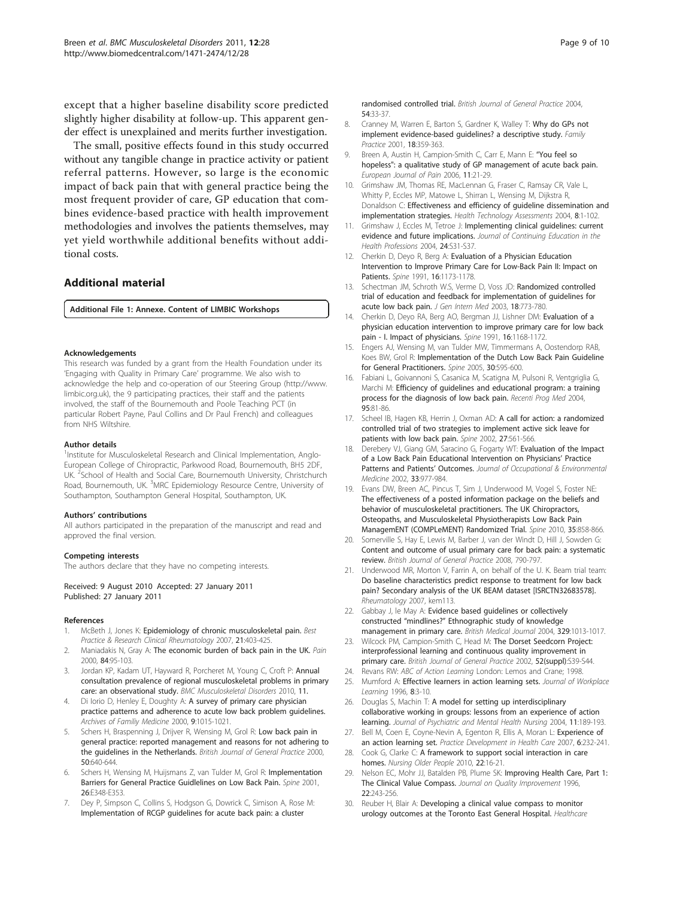<span id="page-8-0"></span>except that a higher baseline disability score predicted slightly higher disability at follow-up. This apparent gender effect is unexplained and merits further investigation.

The small, positive effects found in this study occurred without any tangible change in practice activity or patient referral patterns. However, so large is the economic impact of back pain that with general practice being the most frequent provider of care, GP education that combines evidence-based practice with health improvement methodologies and involves the patients themselves, may yet yield worthwhile additional benefits without additional costs.

# Additional material

[Additional File 1:](http://www.biomedcentral.com/content/supplementary/1471-2474-12-28-S1.DOC) Annexe. Content of LIMBIC Workshops

#### Acknowledgements

This research was funded by a grant from the Health Foundation under its 'Engaging with Quality in Primary Care' programme. We also wish to acknowledge the help and co-operation of our Steering Group ([http://www.](http://www.limbic.org.uk) [limbic.org.uk\)](http://www.limbic.org.uk), the 9 participating practices, their staff and the patients involved, the staff of the Bournemouth and Poole Teaching PCT (in particular Robert Payne, Paul Collins and Dr Paul French) and colleagues from NHS Wiltshire.

#### Author details

<sup>1</sup>Institute for Musculoskeletal Research and Clinical Implementation, Anglo-European College of Chiropractic, Parkwood Road, Bournemouth, BH5 2DF, UK. <sup>2</sup>School of Health and Social Care, Bournemouth University, Christchurch Road, Bournemouth, UK. <sup>3</sup>MRC Epidemiology Resource Centre, University of Southampton, Southampton General Hospital, Southampton, UK.

#### Authors' contributions

All authors participated in the preparation of the manuscript and read and approved the final version.

#### Competing interests

The authors declare that they have no competing interests.

Received: 9 August 2010 Accepted: 27 January 2011 Published: 27 January 2011

#### References

- 1. McBeth J, Jones K: Epidemiology of chronic musculoskeletal pain. Best Practice & Research Clinical Rheumatology 2007, 21:403-425.
- Maniadakis N, Gray A: [The economic burden of back pain in the UK.](http://www.ncbi.nlm.nih.gov/pubmed/10601677?dopt=Abstract) Pain 2000, 84:95-103.
- 3. Jordan KP, Kadam UT, Hayward R, Porcheret M, Young C, Croft P: Annual consultation prevalence of regional musculoskeletal problems in primary care: an observational study. BMC Musculoskeletal Disorders 2010, 11.
- 4. Di Iorio D, Henley E, Doughty A: A survey of primary care physician practice patterns and adherence to acute low back problem guidelines. Archives of Familiy Medicine 2000, 9:1015-1021.
- 5. Schers H, Braspenning J, Drijver R, Wensing M, Grol R: [Low back pain in](http://www.ncbi.nlm.nih.gov/pubmed/11042916?dopt=Abstract) [general practice: reported management and reasons for not adhering to](http://www.ncbi.nlm.nih.gov/pubmed/11042916?dopt=Abstract) [the guidelines in the Netherlands.](http://www.ncbi.nlm.nih.gov/pubmed/11042916?dopt=Abstract) British Journal of General Practice 2000, 50:640-644.
- Schers H, Wensing M, Huijsmans Z, van Tulder M, Grol R: [Implementation](http://www.ncbi.nlm.nih.gov/pubmed/11474367?dopt=Abstract) [Barriers for General Practice Guidlelines on Low Back Pain.](http://www.ncbi.nlm.nih.gov/pubmed/11474367?dopt=Abstract) Spine 2001, 26:E348-E353.
- 7. Dey P, Simpson C, Collins S, Hodgson G, Dowrick C, Simison A, Rose M: [Implementation of RCGP guidelines for acute back pain: a cluster](http://www.ncbi.nlm.nih.gov/pubmed/14965404?dopt=Abstract)

[randomised controlled trial.](http://www.ncbi.nlm.nih.gov/pubmed/14965404?dopt=Abstract) British Journal of General Practice 2004, 54:33-37.

- 8. Cranney M, Warren E, Barton S, Gardner K, Walley T: [Why do GPs not](http://www.ncbi.nlm.nih.gov/pubmed/11477041?dopt=Abstract) [implement evidence-based guidelines? a descriptive study.](http://www.ncbi.nlm.nih.gov/pubmed/11477041?dopt=Abstract) Family Practice 2001, 18:359-363.
- Breen A, Austin H, Campion-Smith C, Carr E, Mann E: "[You feel so](http://www.ncbi.nlm.nih.gov/pubmed/16434220?dopt=Abstract) [hopeless": a qualitative study of GP management of acute back pain.](http://www.ncbi.nlm.nih.gov/pubmed/16434220?dopt=Abstract) European Journal of Pain 2006, 11:21-29.
- 10. Grimshaw JM, Thomas RE, MacLennan G, Fraser C, Ramsay CR, Vale L, Whitty P, Eccles MP, Matowe L, Shirran L, Wensing M, Dijkstra R, Donaldson C: Effectiveness and efficiency of guideline dissemination and implementation strategies. Health Technology Assessments 2004, 8:1-102.
- 11. Grimshaw J, Eccles M, Tetroe J: [Implementing clinical guidelines: current](http://www.ncbi.nlm.nih.gov/pubmed/15712775?dopt=Abstract) [evidence and future implications.](http://www.ncbi.nlm.nih.gov/pubmed/15712775?dopt=Abstract) Journal of Continuing Education in the Health Professions 2004, 24:S31-S37.
- 12. Cherkin D, Deyo R, Berg A: [Evaluation of a Physician Education](http://www.ncbi.nlm.nih.gov/pubmed/1836677?dopt=Abstract) [Intervention to Improve Primary Care for Low-Back Pain II: Impact on](http://www.ncbi.nlm.nih.gov/pubmed/1836677?dopt=Abstract) [Patients.](http://www.ncbi.nlm.nih.gov/pubmed/1836677?dopt=Abstract) Spine 1991, 16:1173-1178.
- 13. Schectman JM, Schroth W.S, Verme D, Voss JD: [Randomized controlled](http://www.ncbi.nlm.nih.gov/pubmed/14521638?dopt=Abstract) [trial of education and feedback for implementation of guidelines for](http://www.ncbi.nlm.nih.gov/pubmed/14521638?dopt=Abstract) [acute low back pain.](http://www.ncbi.nlm.nih.gov/pubmed/14521638?dopt=Abstract) J Gen Intern Med 2003, 18:773-780.
- 14. Cherkin D, Deyo RA, Berg AO, Bergman JJ, Lishner DM: [Evaluation of a](http://www.ncbi.nlm.nih.gov/pubmed/1836676?dopt=Abstract) [physician education intervention to improve primary care for low back](http://www.ncbi.nlm.nih.gov/pubmed/1836676?dopt=Abstract) [pain - I. Impact of physicians.](http://www.ncbi.nlm.nih.gov/pubmed/1836676?dopt=Abstract) Spine 1991, 16:1168-1172.
- 15. Engers AJ, Wensing M, van Tulder MW, Timmermans A, Oostendorp RAB, Koes BW, Grol R: Implementation of the Dutch Low Back Pain Guideline for General Practitioners. Spine 2005, 30:595-600.
- 16. Fabiani L, Goivannoni S, Casanica M, Scatigna M, Pulsoni R, Ventgriglia G, Marchi M: [Efficiency of guidelines and educational program: a training](http://www.ncbi.nlm.nih.gov/pubmed/15072392?dopt=Abstract) [process for the diagnosis of low back pain.](http://www.ncbi.nlm.nih.gov/pubmed/15072392?dopt=Abstract) Recenti Prog Med 2004, 95:81-86.
- 17. Scheel IB, Hagen KB, Herrin J, Oxman AD: [A call for action: a randomized](http://www.ncbi.nlm.nih.gov/pubmed/11884902?dopt=Abstract) [controlled trial of two strategies to implement active sick leave for](http://www.ncbi.nlm.nih.gov/pubmed/11884902?dopt=Abstract) [patients with low back pain.](http://www.ncbi.nlm.nih.gov/pubmed/11884902?dopt=Abstract) Spine 2002, 27:561-566.
- 18. Derebery VJ, Giang GM, Saracino G, Fogarty WT: Evaluation of the Impact of a Low Back Pain Educational Intervention on Physicians' Practice Patterns and Patients' Outcomes. Journal of Occupational & Environmental Medicine 2002, 33:977-984.
- 19. Evans DW, Breen AC, Pincus T, Sim J, Underwood M, Vogel S, Foster NE: [The effectiveness of a posted information package on the beliefs and](http://www.ncbi.nlm.nih.gov/pubmed/20308941?dopt=Abstract) [behavior of musculoskeletal practitioners. The UK Chiropractors,](http://www.ncbi.nlm.nih.gov/pubmed/20308941?dopt=Abstract) [Osteopaths, and Musculoskeletal Physiotherapists Low Back Pain](http://www.ncbi.nlm.nih.gov/pubmed/20308941?dopt=Abstract) [ManagemENT \(COMPLeMENT\) Randomized Trial.](http://www.ncbi.nlm.nih.gov/pubmed/20308941?dopt=Abstract) Spine 2010, 35:858-866.
- 20. Somerville S, Hay E, Lewis M, Barber J, van der Windt D, Hill J, Sowden G: [Content and outcome of usual primary care for back pain: a systematic](http://www.ncbi.nlm.nih.gov/pubmed/19000402?dopt=Abstract) [review.](http://www.ncbi.nlm.nih.gov/pubmed/19000402?dopt=Abstract) British Journal of General Practice 2008, 790-797.
- 21. Underwood MR, Morton V, Farrin A, on behalf of the U. K. Beam trial team: [Do baseline characteristics predict response to treatment for low back](http://www.ncbi.nlm.nih.gov/pubmed/17522096?dopt=Abstract) [pain? Secondary analysis of the UK BEAM dataset \[ISRCTN32683578\].](http://www.ncbi.nlm.nih.gov/pubmed/17522096?dopt=Abstract) Rheumatology 2007, kem113.
- 22. Gabbay J, le May A: [Evidence based guidelines or collectively](http://www.ncbi.nlm.nih.gov/pubmed/15514347?dopt=Abstract) constructed "mindlines?" [Ethnographic study of knowledge](http://www.ncbi.nlm.nih.gov/pubmed/15514347?dopt=Abstract) [management in primary care.](http://www.ncbi.nlm.nih.gov/pubmed/15514347?dopt=Abstract) British Medical Journal 2004, 329:1013-1017.
- 23. Wilcock PM, Campion-Smith C, Head M: [The Dorset Seedcorn Project:](http://www.ncbi.nlm.nih.gov/pubmed/12389771?dopt=Abstract) [interprofessional learning and continuous quality improvement in](http://www.ncbi.nlm.nih.gov/pubmed/12389771?dopt=Abstract) [primary care.](http://www.ncbi.nlm.nih.gov/pubmed/12389771?dopt=Abstract) British Journal of General Practice 2002, 52(suppl):S39-S44.
- 24. Revans RW: ABC of Action Learning London: Lemos and Crane; 1998.
- 25. Mumford A: Effective learners in action learning sets. Journal of Workplace Learning 1996, 8:3-10.
- 26. Douglas S, Machin T: [A model for setting up interdisciplinary](http://www.ncbi.nlm.nih.gov/pubmed/15009495?dopt=Abstract) [collaborative working in groups: lessons from an experience of action](http://www.ncbi.nlm.nih.gov/pubmed/15009495?dopt=Abstract) [learning.](http://www.ncbi.nlm.nih.gov/pubmed/15009495?dopt=Abstract) Journal of Psychiatric and Mental Health Nursing 2004, 11:189-193.
- 27. Bell M, Coen E, Coyne-Nevin A, Egenton R, Ellis A, Moran L: Experience of an action learning set. Practice Development in Health Care 2007, 6:232-241.
- 28. Cook G, Clarke C: [A framework to support social interaction in care](http://www.ncbi.nlm.nih.gov/pubmed/20432782?dopt=Abstract) [homes.](http://www.ncbi.nlm.nih.gov/pubmed/20432782?dopt=Abstract) Nursing Older People 2010, 22:16-21.
- 29. Nelson EC, Mohr JJ, Batalden PB, Plume SK: Improving Health Care, Part 1: The Clinical Value Compass. Journal on Quality Improvement 1996, 22:243-256.
- 30. Reuber H, Blair A: [Developing a clinical value compass to monitor](http://www.ncbi.nlm.nih.gov/pubmed/10947431?dopt=Abstract) [urology outcomes at the Toronto East General Hospital.](http://www.ncbi.nlm.nih.gov/pubmed/10947431?dopt=Abstract) Healthcare